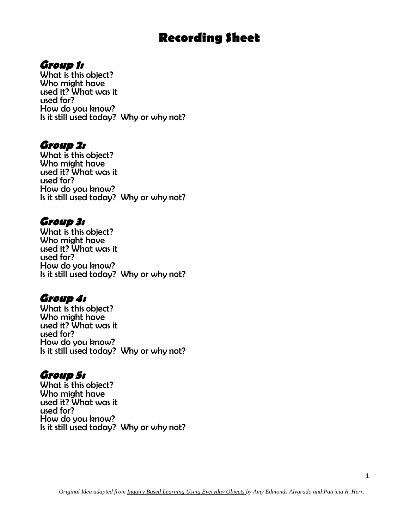# **Recording Sheet**

# **Group 1:**

What is this object? Who might have used it? What was it used for? How do you know? Is it still used today? Why or why not?

### **Group 2:**

What is this object? Who might have used it? What was it used for? How do you know? Is it still used today? Why or why not?

### **Group 3:**

What is this object? Who might have used it? What was it used for? How do you know? Is it still used today? Why or why not?

# **Group 4:**

What is this object? Who might have used it? What was it used for? How do you know? Is it still used today? Why or why not?

# **Group 5:**

What is this object? Who might have used it? What was it used for? How do you know? Is it still used today? Why or why not?